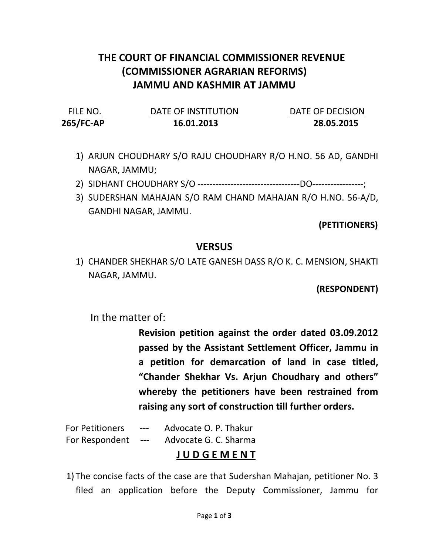## THE COURT OF FINANCIAL COMMISSIONER REVENUE (COMMISSIONER AGRARIAN REFORMS) JAMMU AND KASHMIR AT JAMMU

| FILE NO.  | DATE OF INSTITUTION | DATE OF DECISION |
|-----------|---------------------|------------------|
| 265/FC-AP | 16.01.2013          | 28.05.2015       |

- 1) ARJUN CHOUDHARY S/O RAJU CHOUDHARY R/O H.NO. 56 AD, GANDHI NAGAR, JAMMU;
- 2) SIDHANT CHOUDHARY S/O ----------------------------------DO-----------------;
- 3) SUDERSHAN MAHAJAN S/O RAM CHAND MAHAJAN R/O H.NO. 56-A/D, GANDHI NAGAR, JAMMU.

(PETITIONERS)

## **VERSUS**

1) CHANDER SHEKHAR S/O LATE GANESH DASS R/O K. C. MENSION, SHAKTI NAGAR, JAMMU.

(RESPONDENT)

In the matter of:

Revision petition against the order dated 03.09.2012 passed by the Assistant Settlement Officer, Jammu in a petition for demarcation of land in case titled, "Chander Shekhar Vs. Arjun Choudhary and others" whereby the petitioners have been restrained from raising any sort of construction till further orders.

For Petitioners --- Advocate O. P. Thakur

For Respondent --- Advocate G. C. Sharma

## J U D G E M E N T

1) The concise facts of the case are that Sudershan Mahajan, petitioner No. 3 filed an application before the Deputy Commissioner, Jammu for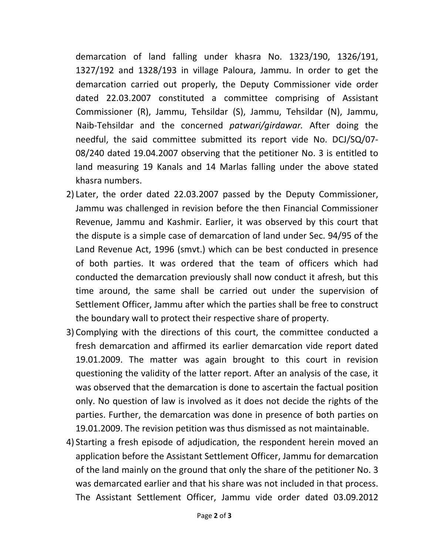demarcation of land falling under khasra No. 1323/190, 1326/191, 1327/192 and 1328/193 in village Paloura, Jammu. In order to get the demarcation carried out properly, the Deputy Commissioner vide order dated 22.03.2007 constituted a committee comprising of Assistant Commissioner (R), Jammu, Tehsildar (S), Jammu, Tehsildar (N), Jammu, Naib-Tehsildar and the concerned patwari/girdawar. After doing the needful, the said committee submitted its report vide No. DCJ/SQ/07- 08/240 dated 19.04.2007 observing that the petitioner No. 3 is entitled to land measuring 19 Kanals and 14 Marlas falling under the above stated khasra numbers.

- 2) Later, the order dated 22.03.2007 passed by the Deputy Commissioner, Jammu was challenged in revision before the then Financial Commissioner Revenue, Jammu and Kashmir. Earlier, it was observed by this court that the dispute is a simple case of demarcation of land under Sec. 94/95 of the Land Revenue Act, 1996 (smvt.) which can be best conducted in presence of both parties. It was ordered that the team of officers which had conducted the demarcation previously shall now conduct it afresh, but this time around, the same shall be carried out under the supervision of Settlement Officer, Jammu after which the parties shall be free to construct the boundary wall to protect their respective share of property.
- 3) Complying with the directions of this court, the committee conducted a fresh demarcation and affirmed its earlier demarcation vide report dated 19.01.2009. The matter was again brought to this court in revision questioning the validity of the latter report. After an analysis of the case, it was observed that the demarcation is done to ascertain the factual position only. No question of law is involved as it does not decide the rights of the parties. Further, the demarcation was done in presence of both parties on 19.01.2009. The revision petition was thus dismissed as not maintainable.
- 4) Starting a fresh episode of adjudication, the respondent herein moved an application before the Assistant Settlement Officer, Jammu for demarcation of the land mainly on the ground that only the share of the petitioner No. 3 was demarcated earlier and that his share was not included in that process. The Assistant Settlement Officer, Jammu vide order dated 03.09.2012